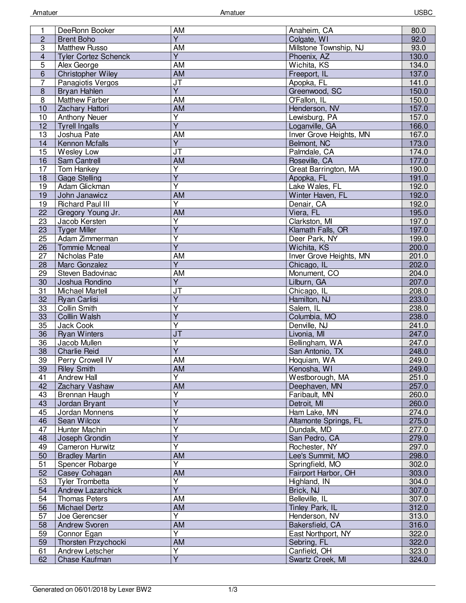| 1                       | DeeRonn Booker              | AM                                | Anaheim, CA                    | 80.0  |
|-------------------------|-----------------------------|-----------------------------------|--------------------------------|-------|
| $\overline{c}$          | <b>Brent Boho</b>           | $\overline{Y}$                    | Colgate, WI                    | 92.0  |
| $\overline{3}$          | <b>Matthew Russo</b>        | <b>AM</b>                         | Millstone Township, NJ         | 93.0  |
| $\overline{\mathbf{4}}$ | <b>Tyler Cortez Schenck</b> | $\overline{Y}$                    | Phoenix, AZ                    | 130.0 |
| $\overline{5}$          | Alex George                 | <b>AM</b>                         | Wichita, KS                    | 134.0 |
| 6                       | Christopher Wiley           | <b>AM</b>                         |                                | 137.0 |
|                         |                             |                                   | Freeport, IL                   |       |
| $\overline{7}$          | Panagiotis Vergos           | $\overline{\mathsf{J}\mathsf{T}}$ | Apopka, FL                     | 141.0 |
| $\bf 8$                 | Bryan Hahlen                | $\overline{Y}$                    | Greenwood, SC                  | 150.0 |
| 8                       | Matthew Farber              | <b>AM</b>                         | O'Fallon, IL                   | 150.0 |
| 10                      | Zachary Hattori             | AM                                | Henderson, NV                  | 157.0 |
| 10                      | <b>Anthony Neuer</b>        | $\overline{Y}$                    | Lewisburg, PA                  | 157.0 |
| 12                      | <b>Tyrell Ingalls</b>       | $\overline{Y}$                    | Loganville, GA                 | 166.0 |
| 13                      | Joshua Pate                 | <b>AM</b>                         | <b>Inver Grove Heights, MN</b> | 167.0 |
| 14                      | Kennon Mcfalls              | $\overline{\mathsf{Y}}$           | Belmont, NC                    | 173.0 |
| 15                      | Wesley Low                  | J <sub>T</sub>                    | Palmdale, CA                   | 174.0 |
| $\overline{16}$         | Sam Cantrell                | <b>AM</b>                         | Roseville, CA                  | 177.0 |
| $\overline{17}$         | Tom Hankey                  | $\overline{\mathsf{Y}}$           | Great Barrington, MA           | 190.0 |
| 18                      | <b>Gage Stelling</b>        | $\overline{Y}$                    | Apopka, FL                     | 191.0 |
| 19                      | Adam Glickman               | $\overline{\mathsf{Y}}$           | Lake Wales, FL                 | 192.0 |
| 19                      | John Janawicz               | AM                                | Winter Haven, FL               | 192.0 |
| 19                      | <b>Richard Paul III</b>     | $\overline{Y}$                    | Denair, CA                     | 192.0 |
| 22                      | Gregory Young Jr.           | <b>AM</b>                         | Viera, FL                      | 195.0 |
| 23                      | Jacob Kersten               | $\overline{Y}$                    | Clarkston, MI                  | 197.0 |
|                         |                             | $\overline{Y}$                    |                                | 197.0 |
| 23                      | <b>Tyger Miller</b>         |                                   | Klamath Falls, OR              |       |
| 25                      | Adam Zimmerman              | $\overline{\mathsf{Y}}$           | Deer Park, NY                  | 199.0 |
| 26                      | <b>Tommie Mcneal</b>        | $\overline{Y}$                    | Wichita, KS                    | 200.0 |
| $\overline{27}$         | Nicholas Pate               | AM                                | <b>Inver Grove Heights, MN</b> | 201.0 |
| 28                      | Marc Gonzalez               | $\overline{Y}$                    | Chicago, IL                    | 202.0 |
| 29                      | Steven Badovinac            | AM                                | Monument, CO                   | 204.0 |
| 30                      | Joshua Rondino              | $\overline{Y}$                    | Lilburn, GA                    | 207.0 |
| 31                      | <b>Michael Martell</b>      | JT                                | Chicago, IL                    | 208.0 |
| $\overline{32}$         | <b>Ryan Carlisi</b>         | $\overline{Y}$                    | Hamilton, NJ                   | 233.0 |
| 33                      | Collin Smith                | $\overline{Y}$                    | Salem, IL                      | 238.0 |
| 33                      | Colllin Walsh               | $\overline{Y}$                    | Columbia, MO                   | 238.0 |
| 35                      | Jack Cook                   | Y                                 | Denville, NJ                   | 241.0 |
| 36                      | <b>Ryan Winters</b>         | JT                                | Livonia, MI                    | 247.0 |
| 36                      | Jacob Mullen                | $\overline{Y}$                    | Bellingham, WA                 | 247.0 |
| 38                      | <b>Charlie Reid</b>         | $\overline{\mathsf{Y}}$           | San Antonio, TX                | 248.0 |
| 39                      | Perry Crowell IV            | AM                                | Hoquiam, WA                    | 249.0 |
| 39                      | <b>Riley Smith</b>          | <b>AM</b>                         | Kenosha, WI                    | 249.0 |
| 41                      | Andrew Hall                 | Y                                 | Westborough, MA                | 251.0 |
| 42                      | Zachary Vashaw              | <b>AM</b>                         | Deephaven, MN                  | 257.0 |
| 43                      |                             | Y                                 |                                |       |
| 43                      | Brennan Haugh               | $\overline{Y}$                    | Faribault, MN                  | 260.0 |
|                         | Jordan Bryant               | $\overline{\mathsf{Y}}$           | Detroit, MI                    | 260.0 |
| 45                      | Jordan Monnens              | $\overline{\mathsf{Y}}$           | Ham Lake, MN                   | 274.0 |
| 46                      | Sean Wilcox                 |                                   | Altamonte Springs, FL          | 275.0 |
| 47                      | Hunter Machin               | $\overline{\mathsf{Y}}$           | Dundalk, MD                    | 277.0 |
| 48                      | Joseph Grondin              | $\overline{Y}$                    | San Pedro, CA                  | 279.0 |
| 49                      | <b>Cameron Hurwitz</b>      | $\overline{Y}$                    | Rochester, NY                  | 297.0 |
| 50                      | <b>Bradley Martin</b>       | AM                                | Lee's Summit, MO               | 298.0 |
| 51                      | Spencer Robarge             | Y                                 | Springfield, MO                | 302.0 |
| 52                      | Casey Cohagan               | <b>AM</b>                         | Fairport Harbor, OH            | 303.0 |
| 53                      | Tyler Trombetta             | Ÿ                                 | Highland, IN                   | 304.0 |
| 54                      | Andrew Lazarchick           | $\overline{Y}$                    | Brick, NJ                      | 307.0 |
| 54                      | <b>Thomas Peters</b>        | AM                                | Belleville, IL                 | 307.0 |
| 56                      | <b>Michael Dertz</b>        | AM                                | Tinley Park, IL                | 312.0 |
| 57                      | Joe Gerencser               | Y                                 | Henderson, NV                  | 313.0 |
| 58                      | Andrew Svoren               | AM                                | Bakersfield, CA                | 316.0 |
| 59                      | Connor Egan                 | Ÿ                                 | East Northport, NY             | 322.0 |
| 59                      | Thorsten Przychocki         | AM                                | Sebring, FL                    | 322.0 |
| 61                      | Andrew Letscher             | Υ                                 | Canfield, OH                   | 323.0 |
| 62                      | Chase Kaufman               | $\overline{Y}$                    | Swartz Creek, MI               |       |
|                         |                             |                                   |                                | 324.0 |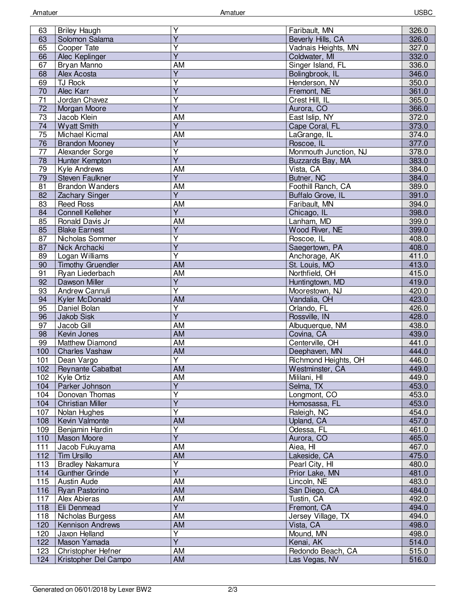| 63              | <b>Briley Haugh</b>      | Υ                            | Faribault, MN         | 326.0 |
|-----------------|--------------------------|------------------------------|-----------------------|-------|
| 63              | Solomon Salama           | $\overline{Y}$               | Beverly Hills, CA     | 326.0 |
| 65              | Cooper Tate              | Υ                            | Vadnais Heights, MN   | 327.0 |
| 66              | Alec Keplinger           | $\overline{\mathsf{Y}}$      | Coldwater, MI         | 332.0 |
| 67              | Bryan Manno              | AM                           | Singer Island, FL     | 336.0 |
| 68              | Alex Acosta              | $\overline{Y}$               | Bolingbrook, IL       | 346.0 |
| 69              | TJ Rock                  | Y                            | Henderson, NV         | 350.0 |
|                 |                          | $\overline{Y}$               |                       |       |
| 70              | Alec Karr                |                              | Fremont, NE           | 361.0 |
| 71              | Jordan Chavez            | Υ                            | Crest Hill, IL        | 365.0 |
| 72              | Morgan Moore             | Ÿ                            | Aurora, CO            | 366.0 |
| $\overline{73}$ | Jacob Klein              | AM                           | East Islip, NY        | 372.0 |
| 74              | <b>Wyatt Smith</b>       | $\overline{Y}$               | Cape Coral, FL        | 373.0 |
| 75              | Michael Kicmal           | AM                           | LaGrange, IL          | 374.0 |
| 76              | <b>Brandon Mooney</b>    | $\overline{\mathsf{Y}}$      | Roscoe, IL            | 377.0 |
| 77              | Alexander Sorge          | $\overline{Y}$               | Monmouth Junction, NJ | 378.0 |
| $\overline{78}$ | Hunter Kempton           | $\overline{Y}$               | Buzzards Bay, MA      | 383.0 |
| 79              | Kyle Andrews             | <b>AM</b>                    | Vista, CA             | 384.0 |
| 79              | <b>Steven Faulkner</b>   | Y                            | Butner, NC            | 384.0 |
| 81              | <b>Brandon Wanders</b>   | AM                           | Foothill Ranch, CA    | 389.0 |
| 82              | Zachary Singer           | Y                            | Buffalo Grove, IL     | 391.0 |
| 83              | <b>Reed Ross</b>         | AM                           | Faribault, MN         | 394.0 |
| 84              | <b>Connell Kelleher</b>  | $\overline{Y}$               | Chicago, IL           | 398.0 |
| 85              | Ronald Davis Jr          | AM                           | Lanham, MD            | 399.0 |
| 85              | <b>Blake Earnest</b>     | $\overline{Y}$               | Wood River, NE        | 399.0 |
| 87              | Nicholas Sommer          | Υ                            | Roscoe, IL            | 408.0 |
| 87              | Nick Archacki            | $\overline{Y}$               | Saegertown, PA        | 408.0 |
| 89              | Logan Williams           | $\overline{\mathsf{Y}}$      | Anchorage, AK         | 411.0 |
| 90              | <b>Timothy Gruendler</b> | AM                           | St. Louis, MO         | 413.0 |
| 91              | Ryan Liederbach          | AM                           | Northfield, OH        | 415.0 |
| 92              | Dawson Miller            | $\overline{Y}$               | Huntingtown, MD       | 419.0 |
| 93              | Andrew Cannuli           | $\overline{\mathsf{Y}}$      | Moorestown, NJ        | 420.0 |
|                 |                          | <b>AM</b>                    |                       | 423.0 |
| 94              | Kyler McDonald           |                              | Vandalia, OH          |       |
| 95              | Daniel Bolan             | Υ<br>$\overline{\mathsf{Y}}$ | Orlando, FL           | 426.0 |
| 96              | Jakob Sisk               |                              | Rossville, IN         | 428.0 |
| 97              | Jacob Gill               | AM                           | Albuquerque, NM       | 438.0 |
| 98              | Kevin Jones              | AM                           | Covina, CA            | 439.0 |
| 99              | <b>Matthew Diamond</b>   | <b>AM</b>                    | Centerville, OH       | 441.0 |
| 100             | <b>Charles Vashaw</b>    | AM                           | Deephaven, MN         | 444.0 |
| 101             | Dean Vargo               | Ÿ                            | Richmond Heights, OH  | 446.0 |
| 102             | Reynante Cabatbat        | <b>AM</b>                    | Westminster, CA       | 449.0 |
| 102             | Kyle Ortiz               | AM                           | Mililani, HI          | 449.0 |
| 104             | Parker Johnson           | $\overline{Y}$               | Selma, TX             | 453.0 |
| 104             | Donovan Thomas           | $\overline{\mathsf{Y}}$      | Longmont, CO          | 453.0 |
| 104             | <b>Christian Miller</b>  | $\overline{\mathsf{Y}}$      | Homosassa, FL         | 453.0 |
| 107             | Nolan Hughes             | Υ                            | Raleigh, NC           | 454.0 |
| 108             | Kevin Valmonte           | AM                           | Upland, CA            | 457.0 |
| 109             | Benjamin Hardin          | $\overline{\mathsf{Y}}$      | Odessa, FL            | 461.0 |
| 110             | <b>Mason Moore</b>       | $\overline{\mathsf{Y}}$      | Aurora, CO            | 465.0 |
| 111             | Jacob Fukuyama           | AM                           | Aiea, HI              | 467.0 |
| 112             | <b>Tim Ursillo</b>       | AM                           | Lakeside, CA          | 475.0 |
| 113             | <b>Bradley Nakamura</b>  | Υ                            | Pearl City, HI        | 480.0 |
| 114             | <b>Gunther Grinde</b>    | $\overline{Y}$               | Prior Lake, MN        | 481.0 |
| 115             | Austin Aude              | <b>AM</b>                    | Lincoln, NE           | 483.0 |
| 116             | Ryan Pastorino           | <b>AM</b>                    | San Diego, CA         | 484.0 |
| 117             | Alex Abieras             | AM                           | Tustin, CA            | 492.0 |
| 118             | Eli Denmead              | $\overline{Y}$               | Fremont, CA           | 494.0 |
| 118             | Nicholas Burgess         | AM                           | Jersey Village, TX    | 494.0 |
| 120             | <b>Kennison Andrews</b>  | AM                           | Vista, CA             | 498.0 |
| 120             | Jaxon Helland            | Y                            | Mound, MN             | 498.0 |
| 122             | Mason Yamada             | $\overline{\mathsf{Y}}$      | Kenai, AK             | 514.0 |
| 123             | Christopher Hefner       | AM                           | Redondo Beach, CA     | 515.0 |
| 124             | Kristopher Del Campo     | AM                           | Las Vegas, NV         | 516.0 |
|                 |                          |                              |                       |       |